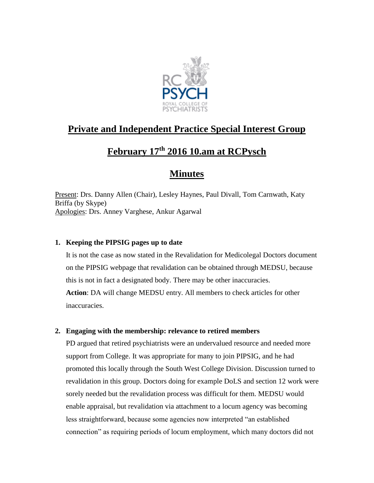

# **Private and Independent Practice Special Interest Group**

# **February 17th 2016 10.am at RCPysch**

# **Minutes**

Present: Drs. Danny Allen (Chair), Lesley Haynes, Paul Divall, Tom Carnwath, Katy Briffa (by Skype) Apologies: Drs. Anney Varghese, Ankur Agarwal

## **1. Keeping the PIPSIG pages up to date**

It is not the case as now stated in the Revalidation for Medicolegal Doctors document on the PIPSIG webpage that revalidation can be obtained through MEDSU, because this is not in fact a designated body. There may be other inaccuracies. **Action**: DA will change MEDSU entry. All members to check articles for other

inaccuracies.

## **2. Engaging with the membership: relevance to retired members**

PD argued that retired psychiatrists were an undervalued resource and needed more support from College. It was appropriate for many to join PIPSIG, and he had promoted this locally through the South West College Division. Discussion turned to revalidation in this group. Doctors doing for example DoLS and section 12 work were sorely needed but the revalidation process was difficult for them. MEDSU would enable appraisal, but revalidation via attachment to a locum agency was becoming less straightforward, because some agencies now interpreted "an established connection" as requiring periods of locum employment, which many doctors did not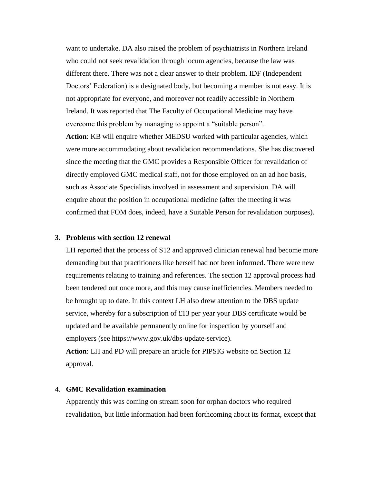want to undertake. DA also raised the problem of psychiatrists in Northern Ireland who could not seek revalidation through locum agencies, because the law was different there. There was not a clear answer to their problem. IDF (Independent Doctors' Federation) is a designated body, but becoming a member is not easy. It is not appropriate for everyone, and moreover not readily accessible in Northern Ireland. It was reported that The Faculty of Occupational Medicine may have overcome this problem by managing to appoint a "suitable person".

**Action**: KB will enquire whether MEDSU worked with particular agencies, which were more accommodating about revalidation recommendations. She has discovered since the meeting that the GMC provides a Responsible Officer for revalidation of directly employed GMC medical staff, not for those employed on an ad hoc basis, such as Associate Specialists involved in assessment and supervision. DA will enquire about the position in occupational medicine (after the meeting it was confirmed that FOM does, indeed, have a Suitable Person for revalidation purposes).

#### **3. Problems with section 12 renewal**

LH reported that the process of S12 and approved clinician renewal had become more demanding but that practitioners like herself had not been informed. There were new requirements relating to training and references. The section 12 approval process had been tendered out once more, and this may cause inefficiencies. Members needed to be brought up to date. In this context LH also drew attention to the DBS update service, whereby for a subscription of £13 per year your DBS certificate would be updated and be available permanently online for inspection by yourself and employers (see https://www.gov.uk/dbs-update-service).

**Action**: LH and PD will prepare an article for PIPSIG website on Section 12 approval.

### 4. **GMC Revalidation examination**

Apparently this was coming on stream soon for orphan doctors who required revalidation, but little information had been forthcoming about its format, except that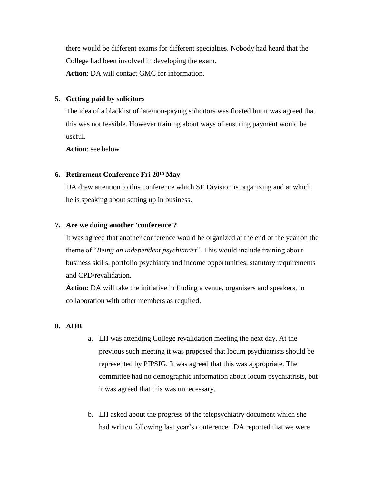there would be different exams for different specialties. Nobody had heard that the College had been involved in developing the exam. **Action**: DA will contact GMC for information.

## **5. Getting paid by solicitors**

The idea of a blacklist of late/non-paying solicitors was floated but it was agreed that this was not feasible. However training about ways of ensuring payment would be useful.

**Action**: see below

### **6. Retirement Conference Fri 20th May**

DA drew attention to this conference which SE Division is organizing and at which he is speaking about setting up in business.

### **7. Are we doing another 'conference'?**

It was agreed that another conference would be organized at the end of the year on the theme of "*Being an independent psychiatrist*". This would include training about business skills, portfolio psychiatry and income opportunities, statutory requirements and CPD/revalidation.

**Action**: DA will take the initiative in finding a venue, organisers and speakers, in collaboration with other members as required.

#### **8. AOB**

- a. LH was attending College revalidation meeting the next day. At the previous such meeting it was proposed that locum psychiatrists should be represented by PIPSIG. It was agreed that this was appropriate. The committee had no demographic information about locum psychiatrists, but it was agreed that this was unnecessary.
- b. LH asked about the progress of the telepsychiatry document which she had written following last year's conference. DA reported that we were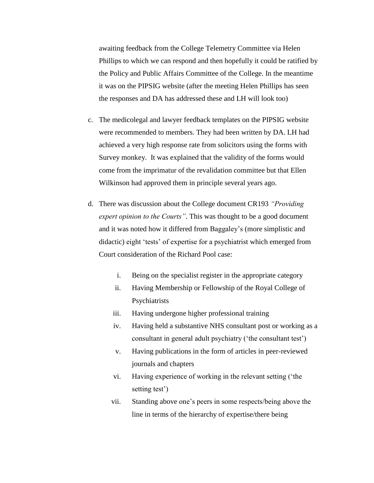awaiting feedback from the College Telemetry Committee via Helen Phillips to which we can respond and then hopefully it could be ratified by the Policy and Public Affairs Committee of the College. In the meantime it was on the PIPSIG website (after the meeting Helen Phillips has seen the responses and DA has addressed these and LH will look too)

- c. The medicolegal and lawyer feedback templates on the PIPSIG website were recommended to members. They had been written by DA. LH had achieved a very high response rate from solicitors using the forms with Survey monkey. It was explained that the validity of the forms would come from the imprimatur of the revalidation committee but that Ellen Wilkinson had approved them in principle several years ago.
- d. There was discussion about the College document CR193 *"Providing expert opinion to the Courts"*. This was thought to be a good document and it was noted how it differed from Baggaley's (more simplistic and didactic) eight 'tests' of expertise for a psychiatrist which emerged from Court consideration of the Richard Pool case:
	- i. Being on the specialist register in the appropriate category
	- ii. Having Membership or Fellowship of the Royal College of Psychiatrists
	- iii. Having undergone higher professional training
	- iv. Having held a substantive NHS consultant post or working as a consultant in general adult psychiatry ('the consultant test')
	- v. Having publications in the form of articles in peer-reviewed journals and chapters
	- vi. Having experience of working in the relevant setting ('the setting test')
	- vii. Standing above one's peers in some respects/being above the line in terms of the hierarchy of expertise/there being